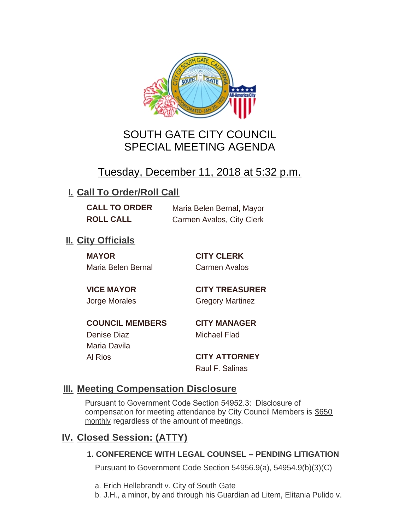

# SOUTH GATE CITY COUNCIL SPECIAL MEETING AGENDA

# Tuesday, December 11, 2018 at 5:32 p.m.

# **I. Call To Order/Roll Call**

**CALL TO ORDER** Maria Belen Bernal, Mayor **ROLL CALL** Carmen Avalos, City Clerk

# **II.** City Officials

**MAYOR CITY CLERK** Maria Belen Bernal Carmen Avalos

**VICE MAYOR CITY TREASURER** Jorge Morales Gregory Martinez

**COUNCIL MEMBERS CITY MANAGER** Denise Diaz Michael Flad

Maria Davila

Al Rios **CITY ATTORNEY** Raul F. Salinas

### **Meeting Compensation Disclosure III.**

Pursuant to Government Code Section 54952.3: Disclosure of compensation for meeting attendance by City Council Members is \$650 monthly regardless of the amount of meetings.

## **Closed Session: (ATTY) IV.**

#### **1. CONFERENCE WITH LEGAL COUNSEL – PENDING LITIGATION**

Pursuant to Government Code Section 54956.9(a), 54954.9(b)(3)(C)

- a. Erich Hellebrandt v. City of South Gate
- b. J.H., a minor, by and through his Guardian ad Litem, Elitania Pulido v.